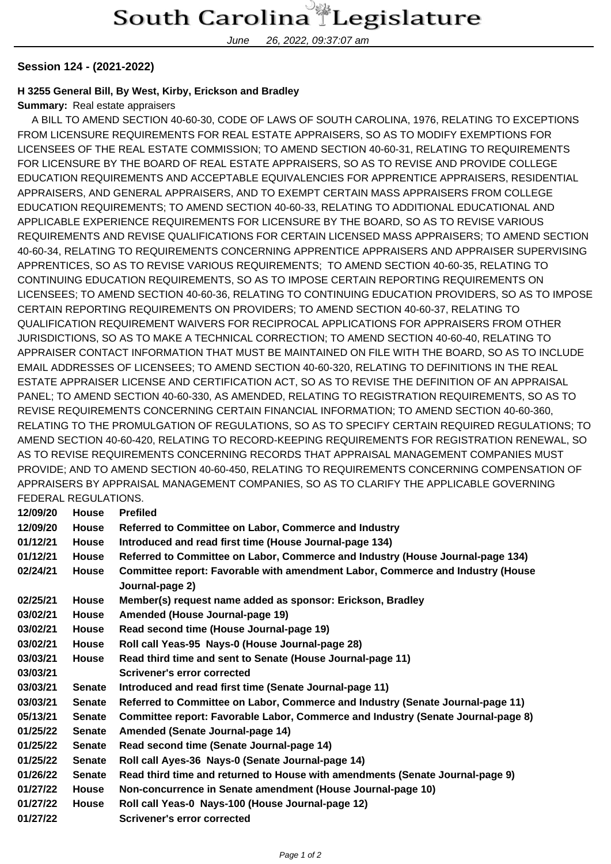June 26, 2022, 09:37:07 am

## **Session 124 - (2021-2022)**

## **H 3255 General Bill, By West, Kirby, Erickson and Bradley**

**Summary:** Real estate appraisers

 A BILL TO AMEND SECTION 40-60-30, CODE OF LAWS OF SOUTH CAROLINA, 1976, RELATING TO EXCEPTIONS FROM LICENSURE REQUIREMENTS FOR REAL ESTATE APPRAISERS, SO AS TO MODIFY EXEMPTIONS FOR LICENSEES OF THE REAL ESTATE COMMISSION; TO AMEND SECTION 40-60-31, RELATING TO REQUIREMENTS FOR LICENSURE BY THE BOARD OF REAL ESTATE APPRAISERS, SO AS TO REVISE AND PROVIDE COLLEGE EDUCATION REQUIREMENTS AND ACCEPTABLE EQUIVALENCIES FOR APPRENTICE APPRAISERS, RESIDENTIAL APPRAISERS, AND GENERAL APPRAISERS, AND TO EXEMPT CERTAIN MASS APPRAISERS FROM COLLEGE EDUCATION REQUIREMENTS; TO AMEND SECTION 40-60-33, RELATING TO ADDITIONAL EDUCATIONAL AND APPLICABLE EXPERIENCE REQUIREMENTS FOR LICENSURE BY THE BOARD, SO AS TO REVISE VARIOUS REQUIREMENTS AND REVISE QUALIFICATIONS FOR CERTAIN LICENSED MASS APPRAISERS; TO AMEND SECTION 40-60-34, RELATING TO REQUIREMENTS CONCERNING APPRENTICE APPRAISERS AND APPRAISER SUPERVISING APPRENTICES, SO AS TO REVISE VARIOUS REQUIREMENTS; TO AMEND SECTION 40-60-35, RELATING TO CONTINUING EDUCATION REQUIREMENTS, SO AS TO IMPOSE CERTAIN REPORTING REQUIREMENTS ON LICENSEES; TO AMEND SECTION 40-60-36, RELATING TO CONTINUING EDUCATION PROVIDERS, SO AS TO IMPOSE CERTAIN REPORTING REQUIREMENTS ON PROVIDERS; TO AMEND SECTION 40-60-37, RELATING TO QUALIFICATION REQUIREMENT WAIVERS FOR RECIPROCAL APPLICATIONS FOR APPRAISERS FROM OTHER JURISDICTIONS, SO AS TO MAKE A TECHNICAL CORRECTION; TO AMEND SECTION 40-60-40, RELATING TO APPRAISER CONTACT INFORMATION THAT MUST BE MAINTAINED ON FILE WITH THE BOARD, SO AS TO INCLUDE EMAIL ADDRESSES OF LICENSEES; TO AMEND SECTION 40-60-320, RELATING TO DEFINITIONS IN THE REAL ESTATE APPRAISER LICENSE AND CERTIFICATION ACT, SO AS TO REVISE THE DEFINITION OF AN APPRAISAL PANEL; TO AMEND SECTION 40-60-330, AS AMENDED, RELATING TO REGISTRATION REQUIREMENTS, SO AS TO REVISE REQUIREMENTS CONCERNING CERTAIN FINANCIAL INFORMATION; TO AMEND SECTION 40-60-360, RELATING TO THE PROMULGATION OF REGULATIONS, SO AS TO SPECIFY CERTAIN REQUIRED REGULATIONS; TO AMEND SECTION 40-60-420, RELATING TO RECORD-KEEPING REQUIREMENTS FOR REGISTRATION RENEWAL, SO AS TO REVISE REQUIREMENTS CONCERNING RECORDS THAT APPRAISAL MANAGEMENT COMPANIES MUST PROVIDE; AND TO AMEND SECTION 40-60-450, RELATING TO REQUIREMENTS CONCERNING COMPENSATION OF APPRAISERS BY APPRAISAL MANAGEMENT COMPANIES, SO AS TO CLARIFY THE APPLICABLE GOVERNING FEDERAL REGULATIONS.

| 12/09/20 | <b>House</b>  | <b>Prefiled</b>                                                                                   |  |  |  |  |
|----------|---------------|---------------------------------------------------------------------------------------------------|--|--|--|--|
| 12/09/20 | <b>House</b>  | Referred to Committee on Labor, Commerce and Industry                                             |  |  |  |  |
| 01/12/21 | <b>House</b>  | Introduced and read first time (House Journal-page 134)                                           |  |  |  |  |
| 01/12/21 | <b>House</b>  | Referred to Committee on Labor, Commerce and Industry (House Journal-page 134)                    |  |  |  |  |
| 02/24/21 | <b>House</b>  | Committee report: Favorable with amendment Labor, Commerce and Industry (House<br>Journal-page 2) |  |  |  |  |
| 02/25/21 | <b>House</b>  | Member(s) request name added as sponsor: Erickson, Bradley                                        |  |  |  |  |
| 03/02/21 | <b>House</b>  | Amended (House Journal-page 19)                                                                   |  |  |  |  |
| 03/02/21 | <b>House</b>  | Read second time (House Journal-page 19)                                                          |  |  |  |  |
| 03/02/21 | <b>House</b>  | Roll call Yeas-95 Nays-0 (House Journal-page 28)                                                  |  |  |  |  |
| 03/03/21 | <b>House</b>  | Read third time and sent to Senate (House Journal-page 11)                                        |  |  |  |  |
| 03/03/21 |               | Scrivener's error corrected                                                                       |  |  |  |  |
| 03/03/21 | <b>Senate</b> | Introduced and read first time (Senate Journal-page 11)                                           |  |  |  |  |
| 03/03/21 | <b>Senate</b> | Referred to Committee on Labor, Commerce and Industry (Senate Journal-page 11)                    |  |  |  |  |
| 05/13/21 | <b>Senate</b> | Committee report: Favorable Labor, Commerce and Industry (Senate Journal-page 8)                  |  |  |  |  |
| 01/25/22 | <b>Senate</b> | Amended (Senate Journal-page 14)                                                                  |  |  |  |  |
| 01/25/22 | <b>Senate</b> | Read second time (Senate Journal-page 14)                                                         |  |  |  |  |
| 01/25/22 | <b>Senate</b> | Roll call Ayes-36 Nays-0 (Senate Journal-page 14)                                                 |  |  |  |  |
| 01/26/22 | <b>Senate</b> | Read third time and returned to House with amendments (Senate Journal-page 9)                     |  |  |  |  |
| 01/27/22 | <b>House</b>  | Non-concurrence in Senate amendment (House Journal-page 10)                                       |  |  |  |  |
| 01/27/22 | <b>House</b>  | Roll call Yeas-0 Nays-100 (House Journal-page 12)                                                 |  |  |  |  |
| 01/27/22 |               | <b>Scrivener's error corrected</b>                                                                |  |  |  |  |